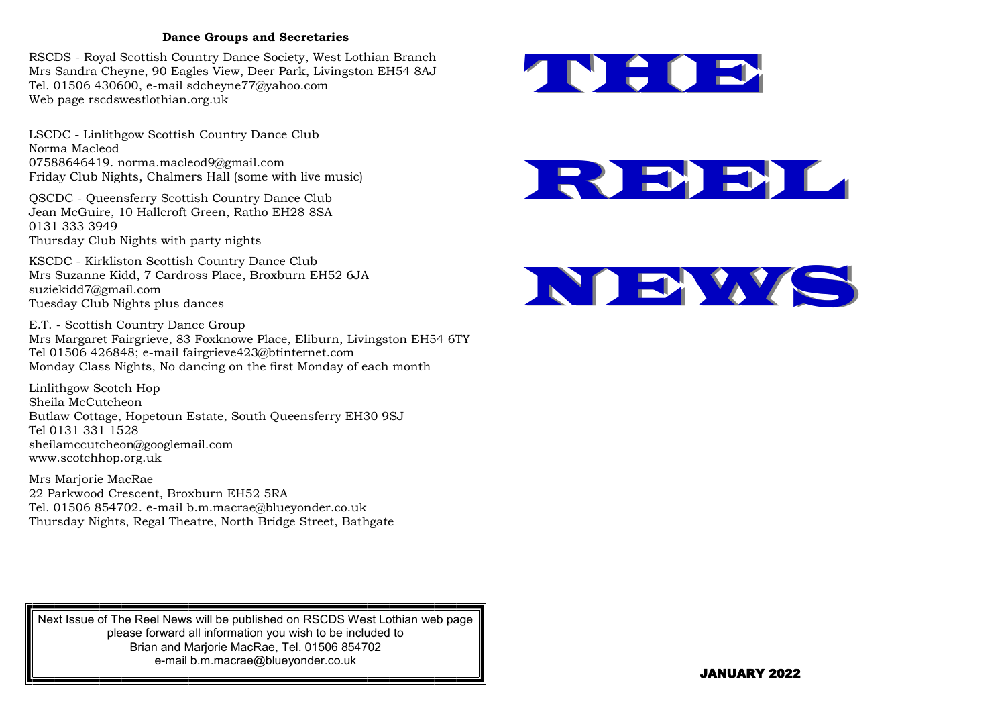## **Dance Groups and Secretaries**

RSCDS - Royal Scottish Country Dance Society, West Lothian Branch Mrs Sandra Cheyne, 90 Eagles View, Deer Park, Livingston EH54 8AJ Tel. 01506 430600, e-mail sdcheyne77@yahoo.com Web page rscdswestlothian.org.uk

LSCDC - Linlithgow Scottish Country Dance Club Norma Macleod 07588646419. norma.macleod9@gmail.com Friday Club Nights, Chalmers Hall (some with live music)

QSCDC - Queensferry Scottish Country Dance Club Jean McGuire, 10 Hallcroft Green, Ratho EH28 8SA 0131 333 3949 Thursday Club Nights with party nights

KSCDC - Kirkliston Scottish Country Dance Club Mrs Suzanne Kidd, 7 Cardross Place, Broxburn EH52 6JA suziekidd7@gmail.com Tuesday Club Nights plus dances

E.T. - Scottish Country Dance Group Mrs Margaret Fairgrieve, 83 Foxknowe Place, Eliburn, Livingston EH54 6TY Tel 01506 426848; e-mail fairgrieve423@btinternet.com Monday Class Nights, No dancing on the first Monday of each month

Linlithgow Scotch Hop Sheila McCutcheon Butlaw Cottage, Hopetoun Estate, South Queensferry EH30 9SJ Tel 0131 331 1528 sheilamccutcheon@googlemail.com www.scotchhop.org.uk

Mrs Marjorie MacRae 22 Parkwood Crescent, Broxburn EH52 5RA Tel. 01506 854702. e-mail b.m.macrae@blueyonder.co.uk Thursday Nights, Regal Theatre, North Bridge Street, Bathgate







Next Issue of The Reel News will be published on RSCDS West Lothian web page please forward all information you wish to be included to Brian and Marjorie MacRae, Tel. 01506 854702 e-mail b.m.macrae@blueyonder.co.uk